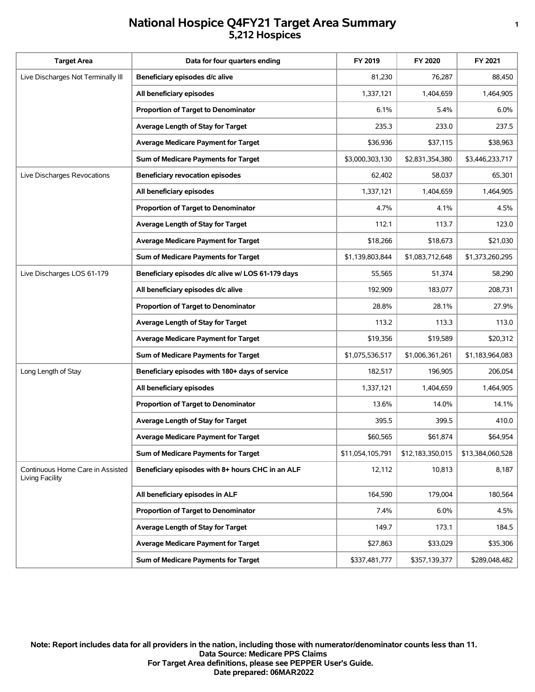## **National Hospice Q4FY21 Target Area Summary <sup>1</sup> 5,212 Hospices**

| <b>Target Area</b>                                  | Data for four quarters ending                     | FY 2019          | FY 2020          | FY 2021          |
|-----------------------------------------------------|---------------------------------------------------|------------------|------------------|------------------|
| Live Discharges Not Terminally III                  | Beneficiary episodes d/c alive                    | 81,230           | 76,287           | 88,450           |
|                                                     | All beneficiary episodes                          | 1,337,121        | 1,404,659        | 1,464,905        |
|                                                     | <b>Proportion of Target to Denominator</b>        | 6.1%             | 5.4%             | 6.0%             |
|                                                     | Average Length of Stay for Target                 | 235.3            | 233.0            | 237.5            |
|                                                     | <b>Average Medicare Payment for Target</b>        | \$36,936         | \$37,115         | \$38,963         |
|                                                     | Sum of Medicare Payments for Target               | \$3,000,303,130  | \$2,831,354,380  | \$3,446,233,717  |
| Live Discharges Revocations                         | <b>Beneficiary revocation episodes</b>            | 62,402           | 58,037           | 65,301           |
|                                                     | All beneficiary episodes                          | 1,337,121        | 1,404,659        | 1,464,905        |
|                                                     | <b>Proportion of Target to Denominator</b>        | 4.7%             | 4.1%             | 4.5%             |
|                                                     | Average Length of Stay for Target                 | 112.1            | 113.7            | 123.0            |
|                                                     | <b>Average Medicare Payment for Target</b>        | \$18,266         | \$18,673         | \$21,030         |
|                                                     | Sum of Medicare Payments for Target               | \$1,139,803,844  | \$1,083,712,648  | \$1,373,260,295  |
| Live Discharges LOS 61-179                          | Beneficiary episodes d/c alive w/ LOS 61-179 days | 55,565           | 51,374           | 58,290           |
|                                                     | All beneficiary episodes d/c alive                | 192,909          | 183,077          | 208,731          |
|                                                     | <b>Proportion of Target to Denominator</b>        | 28.8%            | 28.1%            | 27.9%            |
|                                                     | Average Length of Stay for Target                 | 113.2            | 113.3            | 113.0            |
|                                                     | <b>Average Medicare Payment for Target</b>        | \$19,356         | \$19,589         | \$20,312         |
|                                                     | Sum of Medicare Payments for Target               | \$1,075,536,517  | \$1,006,361,261  | \$1,183,964,083  |
| Long Length of Stay                                 | Beneficiary episodes with 180+ days of service    | 182,517          | 196,905          | 206,054          |
|                                                     | All beneficiary episodes                          | 1,337,121        | 1,404,659        | 1,464,905        |
|                                                     | <b>Proportion of Target to Denominator</b>        | 13.6%            | 14.0%            | 14.1%            |
|                                                     | Average Length of Stay for Target                 | 395.5            | 399.5            | 410.0            |
|                                                     | <b>Average Medicare Payment for Target</b>        | \$60,565         | \$61,874         | \$64,954         |
|                                                     | Sum of Medicare Payments for Target               | \$11,054,105,791 | \$12,183,350,015 | \$13,384,060,528 |
| Continuous Home Care in Assisted<br>Living Facility | Beneficiary episodes with 8+ hours CHC in an ALF  | 12,112           | 10,813           | 8,187            |
|                                                     | All beneficiary episodes in ALF                   | 164,590          | 179,004          | 180,564          |
|                                                     | <b>Proportion of Target to Denominator</b>        | 7.4%             | 6.0%             | 4.5%             |
|                                                     | Average Length of Stay for Target                 | 149.7            | 173.1            | 184.5            |
|                                                     | <b>Average Medicare Payment for Target</b>        | \$27,863         | \$33,029         | \$35,306         |
|                                                     | Sum of Medicare Payments for Target               | \$337,481,777    | \$357,139,377    | \$289,048,482    |

**Date prepared: 06MAR2022 For Target Area definitions, please see PEPPER User's Guide. Data Source: Medicare PPS Claims Note: Report includes data for all providers in the nation, including those with numerator/denominator counts less than 11.**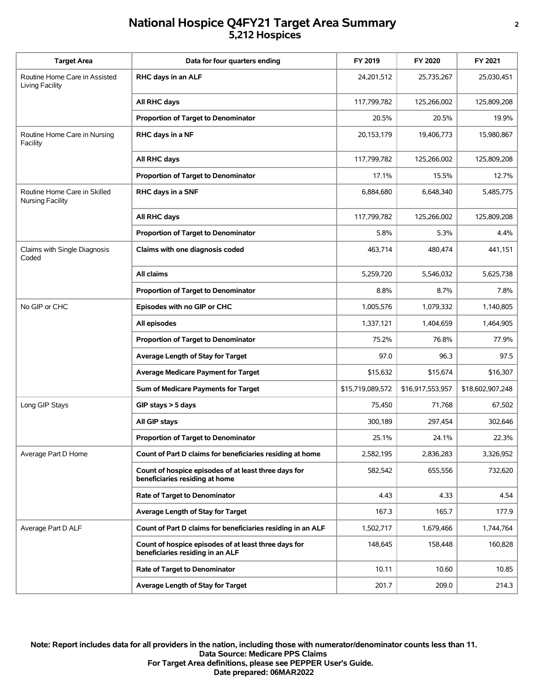## **National Hospice Q4FY21 Target Area Summary <sup>2</sup> 5,212 Hospices**

| <b>Target Area</b>                               | Data for four quarters ending                                                            | FY 2019          | FY 2020          | FY 2021          |
|--------------------------------------------------|------------------------------------------------------------------------------------------|------------------|------------------|------------------|
| Routine Home Care in Assisted<br>Living Facility | RHC days in an ALF                                                                       | 24,201,512       | 25,735,267       | 25,030,451       |
|                                                  | All RHC days                                                                             | 117,799,782      | 125,266,002      | 125,809,208      |
|                                                  | <b>Proportion of Target to Denominator</b>                                               | 20.5%            | 20.5%            | 19.9%            |
| Routine Home Care in Nursing<br>Facility         | RHC days in a NF                                                                         | 20,153,179       | 19,406,773       | 15,980,867       |
|                                                  | All RHC days                                                                             | 117,799,782      | 125,266,002      | 125,809,208      |
|                                                  | <b>Proportion of Target to Denominator</b>                                               | 17.1%            | 15.5%            | 12.7%            |
| Routine Home Care in Skilled<br>Nursing Facility | RHC days in a SNF                                                                        | 6,884,680        | 6,648,340        | 5,485,775        |
|                                                  | All RHC days                                                                             | 117,799,782      | 125,266,002      | 125,809,208      |
|                                                  | <b>Proportion of Target to Denominator</b>                                               | 5.8%             | 5.3%             | 4.4%             |
| Claims with Single Diagnosis<br>Coded            | Claims with one diagnosis coded                                                          | 463,714          | 480,474          | 441,151          |
|                                                  | All claims                                                                               | 5,259,720        | 5,546,032        | 5,625,738        |
|                                                  | <b>Proportion of Target to Denominator</b>                                               | 8.8%             | 8.7%             | 7.8%             |
| No GIP or CHC                                    | Episodes with no GIP or CHC                                                              | 1,005,576        | 1,079,332        | 1,140,805        |
|                                                  | All episodes                                                                             | 1,337,121        | 1,404,659        | 1,464,905        |
|                                                  | <b>Proportion of Target to Denominator</b>                                               | 75.2%            | 76.8%            | 77.9%            |
|                                                  | Average Length of Stay for Target                                                        | 97.0             | 96.3             | 97.5             |
|                                                  | <b>Average Medicare Payment for Target</b>                                               | \$15,632         | \$15,674         | \$16,307         |
|                                                  | Sum of Medicare Payments for Target                                                      | \$15,719,089,572 | \$16,917,553,957 | \$18,602,907,248 |
| Long GIP Stays                                   | $GIP$ stays $>$ 5 days                                                                   | 75,450           | 71,768           | 67,502           |
|                                                  | All GIP stays                                                                            | 300,189          | 297,454          | 302,646          |
|                                                  | <b>Proportion of Target to Denominator</b>                                               | 25.1%            | 24.1%            | 22.3%            |
| Average Part D Home                              | Count of Part D claims for beneficiaries residing at home                                | 2,582,195        | 2,836,283        | 3,326,952        |
|                                                  | Count of hospice episodes of at least three days for<br>beneficiaries residing at home   | 582,542          | 655,556          | 732,620          |
|                                                  | <b>Rate of Target to Denominator</b>                                                     | 4.43             | 4.33             | 4.54             |
|                                                  | Average Length of Stay for Target                                                        | 167.3            | 165.7            | 177.9            |
| Average Part D ALF                               | Count of Part D claims for beneficiaries residing in an ALF                              | 1,502,717        | 1,679,466        | 1,744,764        |
|                                                  | Count of hospice episodes of at least three days for<br>beneficiaries residing in an ALF | 148,645          | 158,448          | 160,828          |
|                                                  | <b>Rate of Target to Denominator</b>                                                     | 10.11            | 10.60            | 10.85            |
|                                                  | Average Length of Stay for Target                                                        | 201.7            | 209.0            | 214.3            |

**Date prepared: 06MAR2022 For Target Area definitions, please see PEPPER User's Guide. Data Source: Medicare PPS Claims Note: Report includes data for all providers in the nation, including those with numerator/denominator counts less than 11.**